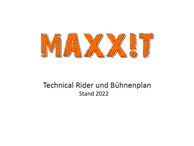

## Technical Rider und Bühnenplan Stand 2022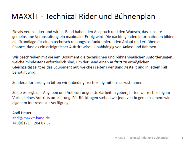## MAXX!T - Technical Rider und Bühnenplan

Sie als Veranstalter und wir als Band haben den Anspruch und den Wunsch, dass unsere gemeinsame Veranstaltung ein maximaler Erfolg wird. Die nachfolgenden Informationen bilden die Grundlage für einen technisch reibungslos funktionierenden Ablauf und erhöhen die Chance, dass es ein erfolgreicher Auftritt wird – unabhängig von Anlass und Rahmen!

Wir beschreiben mit diesem Dokument die technischen und bühnenbaulichen Anforderungen, welche mindestens erforderlich sind, um der Band einen Auftritt zu ermöglichen. Gleichzeitig zeigt es das Equipment auf, welches seitens der Band gestellt und in jedem Fall benötigt wird.

Sonderanforderungen bitten wir unbedingt rechtzeitig mit uns abzustimmen.

Sollte es bzgl. der Angaben und Anforderungen Unklarheiten geben, bitten wir rechtzeitig im Vorfeld eines Auftritts um Klärung. Für Rückfragen stehen wir jederzeit in gemeinsamem wie eigenem Interesse zur Verfügung:

Andi Heuer andi@maxxit-band.de  $+49(0)171 - 2048737$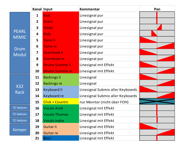|                              |                         | Kanal Input           | <b>Kommentar</b>                  | Pan |
|------------------------------|-------------------------|-----------------------|-----------------------------------|-----|
| <b>PEARL</b><br><b>MIMIC</b> | $\mathbf{1}$            | <b>Kick</b>           | Linesignal pur                    |     |
|                              | $\overline{2}$          | <b>Snare</b>          | Linesignal pur                    |     |
|                              | 3                       | <b>HiHat</b>          | Linesignal pur                    |     |
|                              | 4                       | <b>Ride</b>           | Linesignal pur                    |     |
|                              | 5                       | <b>Toms li</b>        | Linesignal pur                    |     |
| <b>Drum</b><br><b>Modul</b>  | 6                       | <b>Toms re</b>        | Linesignal pur                    |     |
|                              | $\overline{\mathbf{z}}$ | <b>Overhead li</b>    | Linesignal pur                    |     |
|                              | 8                       | <b>Overhead re</b>    | Linesignal pur                    |     |
|                              | 9                       | <b>Drums Summe li</b> | Linesignal mit Effekt             |     |
|                              | 10                      | <b>Drums Summe re</b> | Linesignal mit Effekt             |     |
| <b>X32</b><br><b>Rack</b>    | 11                      | <b>Backings li</b>    | Linesignal                        |     |
|                              | 12                      | <b>Backings re</b>    | Linesignal                        |     |
|                              | 13                      | Keyboard li           | Linesignal Submix aller Keyboards |     |
|                              | 14                      | Keyboard re           | Linesignal Submix aller Keyboards |     |
|                              | 15                      | Click + Countin       | nur Monitor (nicht über FOH)      |     |
| <b>TC Helicon</b>            | 16                      | <b>Vocals Andi</b>    | Linesignal mit Effekt             |     |
| <b>TC Helicon</b>            | 17                      | <b>Vocals Thomas</b>  | Linesignal mit Effekt             |     |
| <b>TC Helicon</b>            | 18                      | <b>Vocals Indra</b>   | Linesignal mit Effekt             |     |
| <b>Kemper</b>                | 19                      | Guitar li             | Linesignal mit Effekt             |     |
|                              | 20                      | <b>Guitar re</b>      | Linesignal mit Effekt             |     |
|                              | 21                      | <b>Bass</b>           | Linesignal mit Effekt             |     |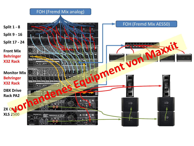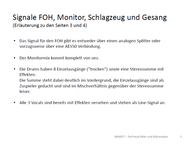## Signale FOH, Monitor, Schlagzeug und Gesang (Erläuterung zu den Seiten 3 und 4)

- Das Signal für den FOH gibt es entweder über einen analogen Splitter oder ٠ vorzugsweise über eine AES50 Verbindung.
- Der Monitormix kommt komplett von uns. ۰
- Die Drums haben 8 Einzelausgänge ("trocken") sowie eine Stereosumme mit ٠ Effekten. Die Summe steht dabei deutlich im Vordergrund, die Einzelausgänge sind als Zuspieler gedacht und sind im Mischverhältnis gegenüber der Stereosumme leiser.
- Alle 3 Vocals sind bereits mit Effekten versehen und stehen als Line-Signal an. ٠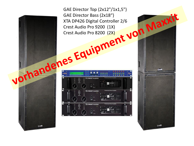